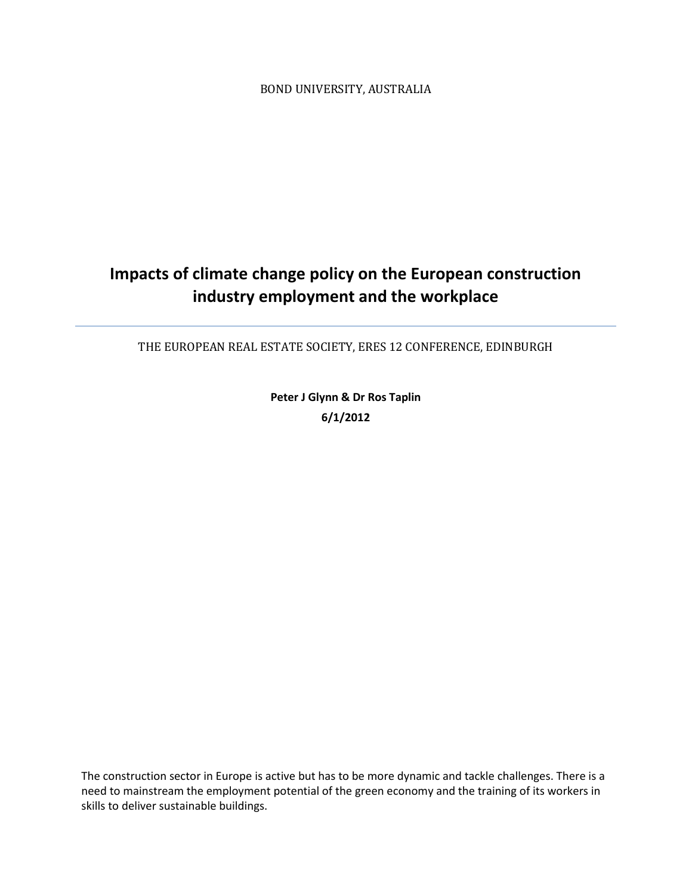BOND UNIVERSITY, AUSTRALIA

# **Impacts of climate change policy on the European construction industry employment and the workplace**

THE EUROPEAN REAL ESTATE SOCIETY, ERES 12 CONFERENCE, EDINBURGH

**Peter J Glynn & Dr Ros Taplin 6/1/2012**

The construction sector in Europe is active but has to be more dynamic and tackle challenges. There is a need to mainstream the employment potential of the green economy and the training of its workers in skills to deliver sustainable buildings.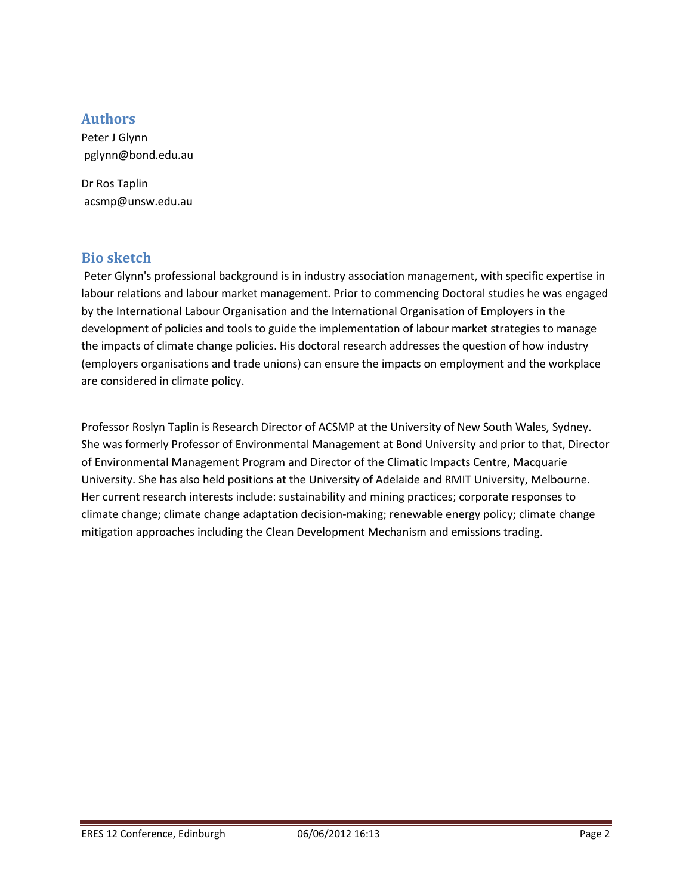#### **Authors**

Peter J Glynn [pglynn@bond.edu.au](mailto:pglynn@bond.edu.au)

Dr Ros Taplin acsmp@unsw.edu.au

#### **Bio sketch**

Peter Glynn's professional background is in industry association management, with specific expertise in labour relations and labour market management. Prior to commencing Doctoral studies he was engaged by the International Labour Organisation and the International Organisation of Employers in the development of policies and tools to guide the implementation of labour market strategies to manage the impacts of climate change policies. His doctoral research addresses the question of how industry (employers organisations and trade unions) can ensure the impacts on employment and the workplace are considered in climate policy.

Professor Roslyn Taplin is Research Director of ACSMP at the University of New South Wales, Sydney. She was formerly Professor of Environmental Management at Bond University and prior to that, Director of Environmental Management Program and Director of the Climatic Impacts Centre, Macquarie University. She has also held positions at the University of Adelaide and RMIT University, Melbourne. Her current research interests include: sustainability and mining practices; corporate responses to climate change; climate change adaptation decision-making; renewable energy policy; climate change mitigation approaches including the Clean Development Mechanism and emissions trading.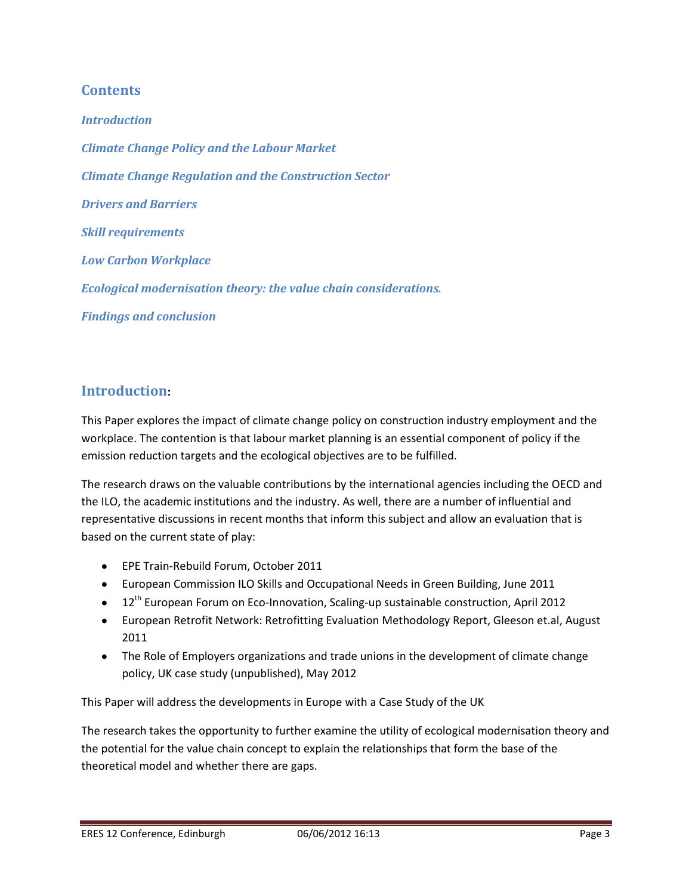#### **Contents**

*Introduction Climate Change Policy and the Labour Market Climate Change Regulation and the Construction Sector Drivers and Barriers Skill requirements Low Carbon Workplace Ecological modernisation theory: the value chain considerations. Findings and conclusion*

### **Introduction:**

This Paper explores the impact of climate change policy on construction industry employment and the workplace. The contention is that labour market planning is an essential component of policy if the emission reduction targets and the ecological objectives are to be fulfilled.

The research draws on the valuable contributions by the international agencies including the OECD and the ILO, the academic institutions and the industry. As well, there are a number of influential and representative discussions in recent months that inform this subject and allow an evaluation that is based on the current state of play:

- EPE Train-Rebuild Forum, October 2011
- European Commission ILO Skills and Occupational Needs in Green Building, June 2011
- $\bullet$  12<sup>th</sup> European Forum on Eco-Innovation, Scaling-up sustainable construction, April 2012
- European Retrofit Network: Retrofitting Evaluation Methodology Report, Gleeson et.al, August 2011
- The Role of Employers organizations and trade unions in the development of climate change policy, UK case study (unpublished), May 2012

This Paper will address the developments in Europe with a Case Study of the UK

The research takes the opportunity to further examine the utility of ecological modernisation theory and the potential for the value chain concept to explain the relationships that form the base of the theoretical model and whether there are gaps.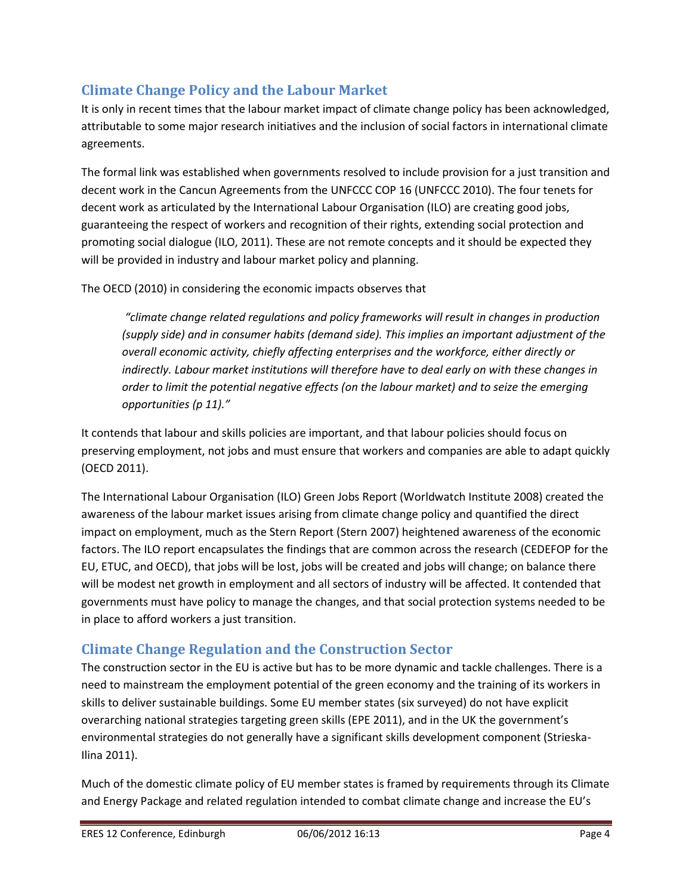# **Climate Change Policy and the Labour Market**

It is only in recent times that the labour market impact of climate change policy has been acknowledged, attributable to some major research initiatives and the inclusion of social factors in international climate agreements.

The formal link was established when governments resolved to include provision for a just transition and decent work in the Cancun Agreements from the UNFCCC COP 16 (UNFCCC 2010). The four tenets for decent work as articulated by the International Labour Organisation (ILO) are creating good jobs, guaranteeing the respect of workers and recognition of their rights, extending social protection and promoting social dialogue (ILO, 2011). These are not remote concepts and it should be expected they will be provided in industry and labour market policy and planning.

The OECD (2010) in considering the economic impacts observes that

*"climate change related regulations and policy frameworks will result in changes in production (supply side) and in consumer habits (demand side). This implies an important adjustment of the overall economic activity, chiefly affecting enterprises and the workforce, either directly or indirectly. Labour market institutions will therefore have to deal early on with these changes in order to limit the potential negative effects (on the labour market) and to seize the emerging opportunities (p 11)."* 

It contends that labour and skills policies are important, and that labour policies should focus on preserving employment, not jobs and must ensure that workers and companies are able to adapt quickly (OECD 2011).

The International Labour Organisation (ILO) Green Jobs Report (Worldwatch Institute 2008) created the awareness of the labour market issues arising from climate change policy and quantified the direct impact on employment, much as the Stern Report (Stern 2007) heightened awareness of the economic factors. The ILO report encapsulates the findings that are common across the research (CEDEFOP for the EU, ETUC, and OECD), that jobs will be lost, jobs will be created and jobs will change; on balance there will be modest net growth in employment and all sectors of industry will be affected. It contended that governments must have policy to manage the changes, and that social protection systems needed to be in place to afford workers a just transition.

# **Climate Change Regulation and the Construction Sector**

The construction sector in the EU is active but has to be more dynamic and tackle challenges. There is a need to mainstream the employment potential of the green economy and the training of its workers in skills to deliver sustainable buildings. Some EU member states (six surveyed) do not have explicit overarching national strategies targeting green skills (EPE 2011), and in the UK the government's environmental strategies do not generally have a significant skills development component (Strieska-Ilina 2011).

Much of the domestic climate policy of EU member states is framed by requirements through its Climate and Energy Package and related regulation intended to combat climate change and increase the EU's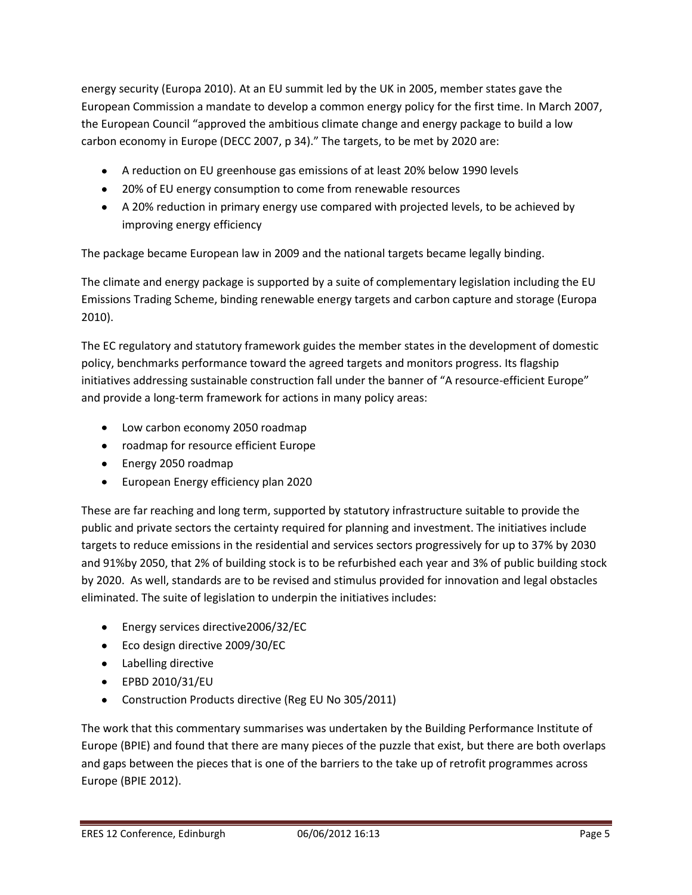energy security (Europa 2010). At an EU summit led by the UK in 2005, member states gave the European Commission a mandate to develop a common energy policy for the first time. In March 2007, the European Council "approved the ambitious climate change and energy package to build a low carbon economy in Europe (DECC 2007, p 34)." The targets, to be met by 2020 are:

- A reduction on EU greenhouse gas emissions of at least 20% below 1990 levels
- 20% of EU energy consumption to come from renewable resources
- A 20% reduction in primary energy use compared with projected levels, to be achieved by improving energy efficiency

The package became European law in 2009 and the national targets became legally binding.

The climate and energy package is supported by a suite of complementary legislation including the EU Emissions Trading Scheme, binding renewable energy targets and carbon capture and storage (Europa 2010).

The EC regulatory and statutory framework guides the member states in the development of domestic policy, benchmarks performance toward the agreed targets and monitors progress. Its flagship initiatives addressing sustainable construction fall under the banner of "A resource-efficient Europe" and provide a long-term framework for actions in many policy areas:

- Low carbon economy 2050 roadmap
- roadmap for resource efficient Europe
- Energy 2050 roadmap
- **European Energy efficiency plan 2020**

These are far reaching and long term, supported by statutory infrastructure suitable to provide the public and private sectors the certainty required for planning and investment. The initiatives include targets to reduce emissions in the residential and services sectors progressively for up to 37% by 2030 and 91%by 2050, that 2% of building stock is to be refurbished each year and 3% of public building stock by 2020. As well, standards are to be revised and stimulus provided for innovation and legal obstacles eliminated. The suite of legislation to underpin the initiatives includes:

- Energy services directive2006/32/EC
- Eco design directive 2009/30/EC
- Labelling directive
- EPBD 2010/31/EU
- Construction Products directive (Reg EU No 305/2011)

The work that this commentary summarises was undertaken by the Building Performance Institute of Europe (BPIE) and found that there are many pieces of the puzzle that exist, but there are both overlaps and gaps between the pieces that is one of the barriers to the take up of retrofit programmes across Europe (BPIE 2012).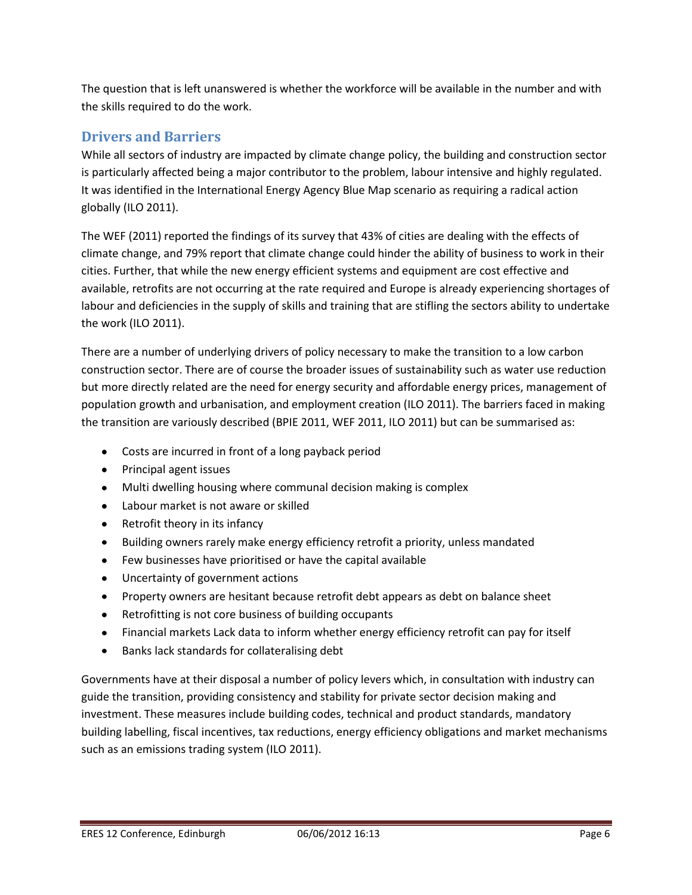The question that is left unanswered is whether the workforce will be available in the number and with the skills required to do the work.

# **Drivers and Barriers**

While all sectors of industry are impacted by climate change policy, the building and construction sector is particularly affected being a major contributor to the problem, labour intensive and highly regulated. It was identified in the International Energy Agency Blue Map scenario as requiring a radical action globally (ILO 2011).

The WEF (2011) reported the findings of its survey that 43% of cities are dealing with the effects of climate change, and 79% report that climate change could hinder the ability of business to work in their cities. Further, that while the new energy efficient systems and equipment are cost effective and available, retrofits are not occurring at the rate required and Europe is already experiencing shortages of labour and deficiencies in the supply of skills and training that are stifling the sectors ability to undertake the work (ILO 2011).

There are a number of underlying drivers of policy necessary to make the transition to a low carbon construction sector. There are of course the broader issues of sustainability such as water use reduction but more directly related are the need for energy security and affordable energy prices, management of population growth and urbanisation, and employment creation (ILO 2011). The barriers faced in making the transition are variously described (BPIE 2011, WEF 2011, ILO 2011) but can be summarised as:

- Costs are incurred in front of a long payback period
- Principal agent issues
- Multi dwelling housing where communal decision making is complex
- Labour market is not aware or skilled
- Retrofit theory in its infancy
- Building owners rarely make energy efficiency retrofit a priority, unless mandated
- Few businesses have prioritised or have the capital available
- Uncertainty of government actions
- Property owners are hesitant because retrofit debt appears as debt on balance sheet
- Retrofitting is not core business of building occupants
- Financial markets Lack data to inform whether energy efficiency retrofit can pay for itself
- $\bullet$ Banks lack standards for collateralising debt

Governments have at their disposal a number of policy levers which, in consultation with industry can guide the transition, providing consistency and stability for private sector decision making and investment. These measures include building codes, technical and product standards, mandatory building labelling, fiscal incentives, tax reductions, energy efficiency obligations and market mechanisms such as an emissions trading system (ILO 2011).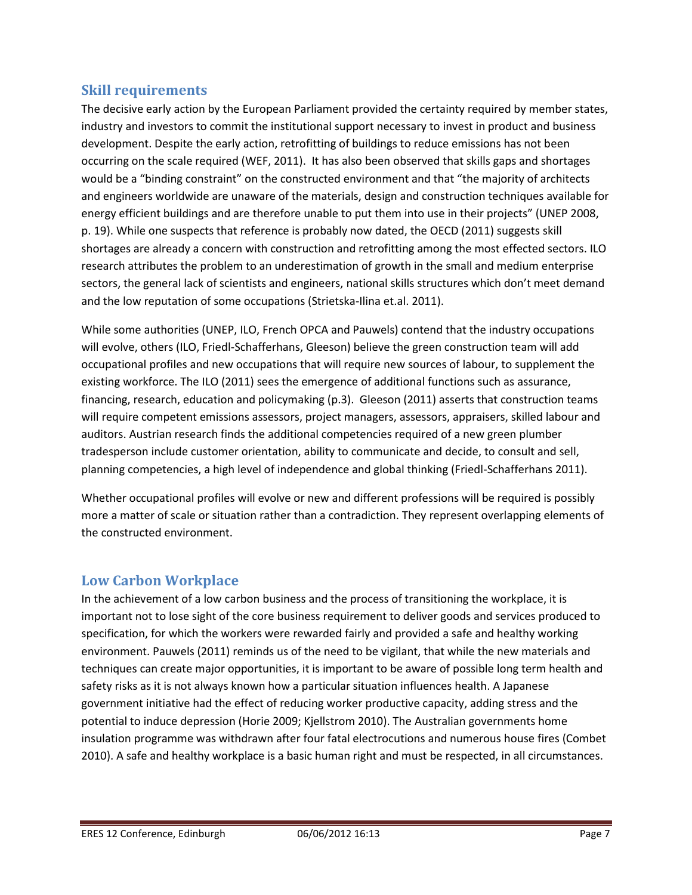#### **Skill requirements**

The decisive early action by the European Parliament provided the certainty required by member states, industry and investors to commit the institutional support necessary to invest in product and business development. Despite the early action, retrofitting of buildings to reduce emissions has not been occurring on the scale required (WEF, 2011). It has also been observed that skills gaps and shortages would be a "binding constraint" on the constructed environment and that "the majority of architects and engineers worldwide are unaware of the materials, design and construction techniques available for energy efficient buildings and are therefore unable to put them into use in their projects" (UNEP 2008, p. 19). While one suspects that reference is probably now dated, the OECD (2011) suggests skill shortages are already a concern with construction and retrofitting among the most effected sectors. ILO research attributes the problem to an underestimation of growth in the small and medium enterprise sectors, the general lack of scientists and engineers, national skills structures which don't meet demand and the low reputation of some occupations (Strietska-Ilina et.al. 2011).

While some authorities (UNEP, ILO, French OPCA and Pauwels) contend that the industry occupations will evolve, others (ILO, Friedl-Schafferhans, Gleeson) believe the green construction team will add occupational profiles and new occupations that will require new sources of labour, to supplement the existing workforce. The ILO (2011) sees the emergence of additional functions such as assurance, financing, research, education and policymaking (p.3). Gleeson (2011) asserts that construction teams will require competent emissions assessors, project managers, assessors, appraisers, skilled labour and auditors. Austrian research finds the additional competencies required of a new green plumber tradesperson include customer orientation, ability to communicate and decide, to consult and sell, planning competencies, a high level of independence and global thinking (Friedl-Schafferhans 2011).

Whether occupational profiles will evolve or new and different professions will be required is possibly more a matter of scale or situation rather than a contradiction. They represent overlapping elements of the constructed environment.

### **Low Carbon Workplace**

In the achievement of a low carbon business and the process of transitioning the workplace, it is important not to lose sight of the core business requirement to deliver goods and services produced to specification, for which the workers were rewarded fairly and provided a safe and healthy working environment. Pauwels (2011) reminds us of the need to be vigilant, that while the new materials and techniques can create major opportunities, it is important to be aware of possible long term health and safety risks as it is not always known how a particular situation influences health. A Japanese government initiative had the effect of reducing worker productive capacity, adding stress and the potential to induce depression (Horie 2009; Kjellstrom 2010). The Australian governments home insulation programme was withdrawn after four fatal electrocutions and numerous house fires (Combet 2010). A safe and healthy workplace is a basic human right and must be respected, in all circumstances.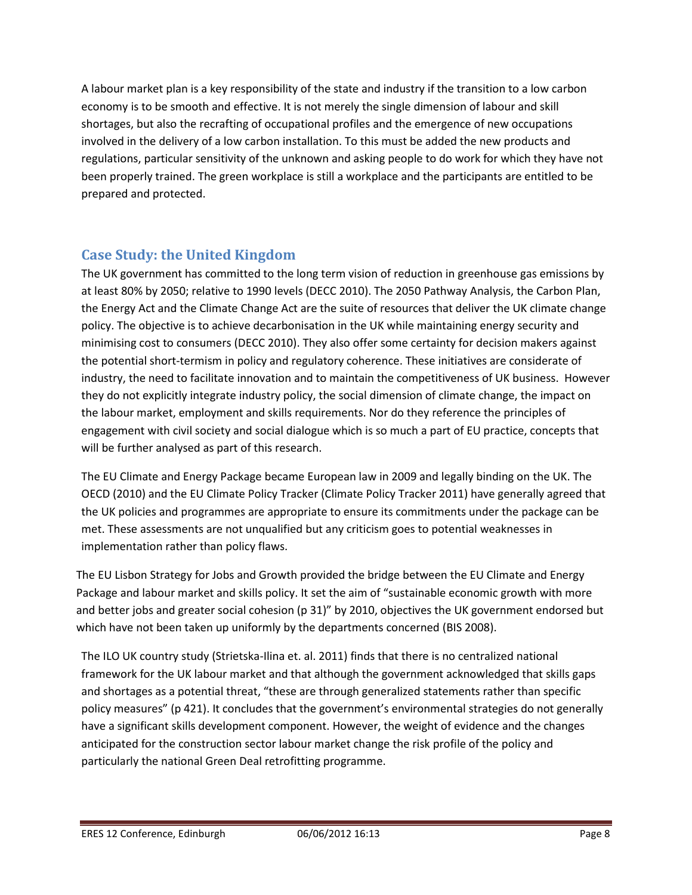A labour market plan is a key responsibility of the state and industry if the transition to a low carbon economy is to be smooth and effective. It is not merely the single dimension of labour and skill shortages, but also the recrafting of occupational profiles and the emergence of new occupations involved in the delivery of a low carbon installation. To this must be added the new products and regulations, particular sensitivity of the unknown and asking people to do work for which they have not been properly trained. The green workplace is still a workplace and the participants are entitled to be prepared and protected.

# **Case Study: the United Kingdom**

The UK government has committed to the long term vision of reduction in greenhouse gas emissions by at least 80% by 2050; relative to 1990 levels (DECC 2010). The 2050 Pathway Analysis, the Carbon Plan, the Energy Act and the Climate Change Act are the suite of resources that deliver the UK climate change policy. The objective is to achieve decarbonisation in the UK while maintaining energy security and minimising cost to consumers (DECC 2010). They also offer some certainty for decision makers against the potential short-termism in policy and regulatory coherence. These initiatives are considerate of industry, the need to facilitate innovation and to maintain the competitiveness of UK business. However they do not explicitly integrate industry policy, the social dimension of climate change, the impact on the labour market, employment and skills requirements. Nor do they reference the principles of engagement with civil society and social dialogue which is so much a part of EU practice, concepts that will be further analysed as part of this research.

The EU Climate and Energy Package became European law in 2009 and legally binding on the UK. The OECD (2010) and the EU Climate Policy Tracker (Climate Policy Tracker 2011) have generally agreed that the UK policies and programmes are appropriate to ensure its commitments under the package can be met. These assessments are not unqualified but any criticism goes to potential weaknesses in implementation rather than policy flaws.

The EU Lisbon Strategy for Jobs and Growth provided the bridge between the EU Climate and Energy Package and labour market and skills policy. It set the aim of "sustainable economic growth with more and better jobs and greater social cohesion (p 31)" by 2010, objectives the UK government endorsed but which have not been taken up uniformly by the departments concerned (BIS 2008).

The ILO UK country study (Strietska-Ilina et. al. 2011) finds that there is no centralized national framework for the UK labour market and that although the government acknowledged that skills gaps and shortages as a potential threat, "these are through generalized statements rather than specific policy measures" (p 421). It concludes that the government's environmental strategies do not generally have a significant skills development component. However, the weight of evidence and the changes anticipated for the construction sector labour market change the risk profile of the policy and particularly the national Green Deal retrofitting programme.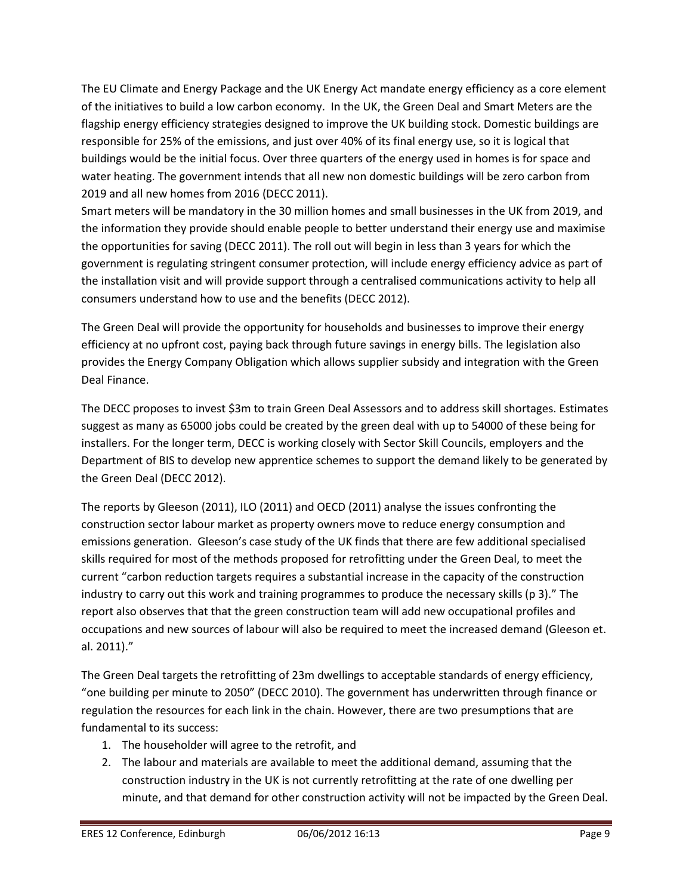The EU Climate and Energy Package and the UK Energy Act mandate energy efficiency as a core element of the initiatives to build a low carbon economy. In the UK, the Green Deal and Smart Meters are the flagship energy efficiency strategies designed to improve the UK building stock. Domestic buildings are responsible for 25% of the emissions, and just over 40% of its final energy use, so it is logical that buildings would be the initial focus. Over three quarters of the energy used in homes is for space and water heating. The government intends that all new non domestic buildings will be zero carbon from 2019 and all new homes from 2016 (DECC 2011).

Smart meters will be mandatory in the 30 million homes and small businesses in the UK from 2019, and the information they provide should enable people to better understand their energy use and maximise the opportunities for saving (DECC 2011). The roll out will begin in less than 3 years for which the government is regulating stringent consumer protection, will include energy efficiency advice as part of the installation visit and will provide support through a centralised communications activity to help all consumers understand how to use and the benefits (DECC 2012).

The Green Deal will provide the opportunity for households and businesses to improve their energy efficiency at no upfront cost, paying back through future savings in energy bills. The legislation also provides the Energy Company Obligation which allows supplier subsidy and integration with the Green Deal Finance.

The DECC proposes to invest \$3m to train Green Deal Assessors and to address skill shortages. Estimates suggest as many as 65000 jobs could be created by the green deal with up to 54000 of these being for installers. For the longer term, DECC is working closely with Sector Skill Councils, employers and the Department of BIS to develop new apprentice schemes to support the demand likely to be generated by the Green Deal (DECC 2012).

The reports by Gleeson (2011), ILO (2011) and OECD (2011) analyse the issues confronting the construction sector labour market as property owners move to reduce energy consumption and emissions generation. Gleeson's case study of the UK finds that there are few additional specialised skills required for most of the methods proposed for retrofitting under the Green Deal, to meet the current "carbon reduction targets requires a substantial increase in the capacity of the construction industry to carry out this work and training programmes to produce the necessary skills (p 3)." The report also observes that that the green construction team will add new occupational profiles and occupations and new sources of labour will also be required to meet the increased demand (Gleeson et. al. 2011)."

The Green Deal targets the retrofitting of 23m dwellings to acceptable standards of energy efficiency, "one building per minute to 2050" (DECC 2010). The government has underwritten through finance or regulation the resources for each link in the chain. However, there are two presumptions that are fundamental to its success:

- 1. The householder will agree to the retrofit, and
- 2. The labour and materials are available to meet the additional demand, assuming that the construction industry in the UK is not currently retrofitting at the rate of one dwelling per minute, and that demand for other construction activity will not be impacted by the Green Deal.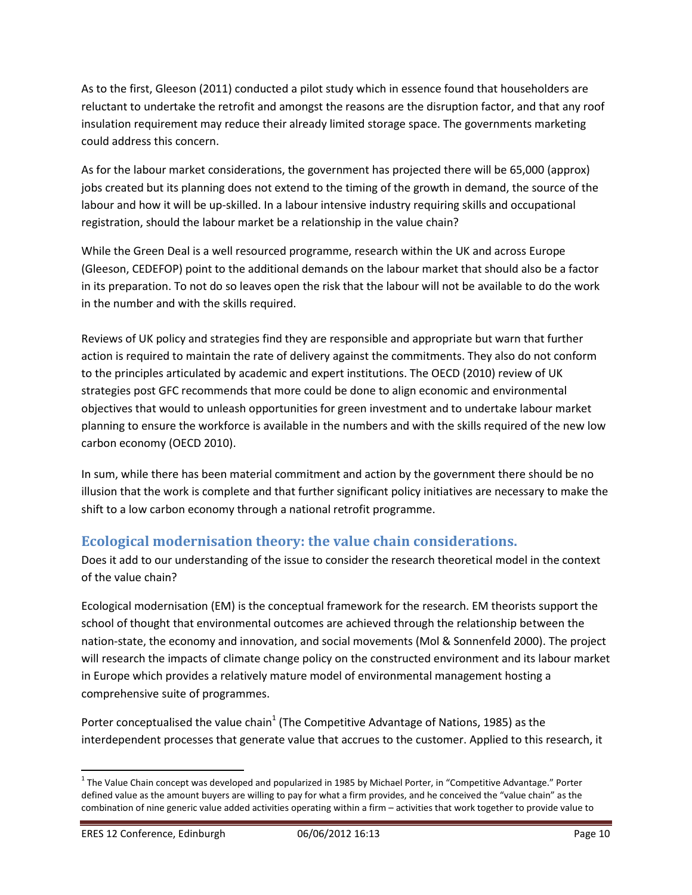As to the first, Gleeson (2011) conducted a pilot study which in essence found that householders are reluctant to undertake the retrofit and amongst the reasons are the disruption factor, and that any roof insulation requirement may reduce their already limited storage space. The governments marketing could address this concern.

As for the labour market considerations, the government has projected there will be 65,000 (approx) jobs created but its planning does not extend to the timing of the growth in demand, the source of the labour and how it will be up-skilled. In a labour intensive industry requiring skills and occupational registration, should the labour market be a relationship in the value chain?

While the Green Deal is a well resourced programme, research within the UK and across Europe (Gleeson, CEDEFOP) point to the additional demands on the labour market that should also be a factor in its preparation. To not do so leaves open the risk that the labour will not be available to do the work in the number and with the skills required.

Reviews of UK policy and strategies find they are responsible and appropriate but warn that further action is required to maintain the rate of delivery against the commitments. They also do not conform to the principles articulated by academic and expert institutions. The OECD (2010) review of UK strategies post GFC recommends that more could be done to align economic and environmental objectives that would to unleash opportunities for green investment and to undertake labour market planning to ensure the workforce is available in the numbers and with the skills required of the new low carbon economy (OECD 2010).

In sum, while there has been material commitment and action by the government there should be no illusion that the work is complete and that further significant policy initiatives are necessary to make the shift to a low carbon economy through a national retrofit programme.

### **Ecological modernisation theory: the value chain considerations.**

Does it add to our understanding of the issue to consider the research theoretical model in the context of the value chain?

Ecological modernisation (EM) is the conceptual framework for the research. EM theorists support the school of thought that environmental outcomes are achieved through the relationship between the nation-state, the economy and innovation, and social movements (Mol & Sonnenfeld 2000). The project will research the impacts of climate change policy on the constructed environment and its labour market in Europe which provides a relatively mature model of environmental management hosting a comprehensive suite of programmes.

Porter conceptualised the value chain<sup>1</sup> (The Competitive Advantage of Nations, 1985) as the interdependent processes that generate value that accrues to the customer. Applied to this research, it

l

<sup>&</sup>lt;sup>1</sup> The Value Chain concept was developed and popularized in 1985 by Michael Porter, in "Competitive Advantage." Porter defined value as the amount buyers are willing to pay for what a firm provides, and he conceived the "value chain" as the combination of nine generic value added activities operating within a firm – activities that work together to provide value to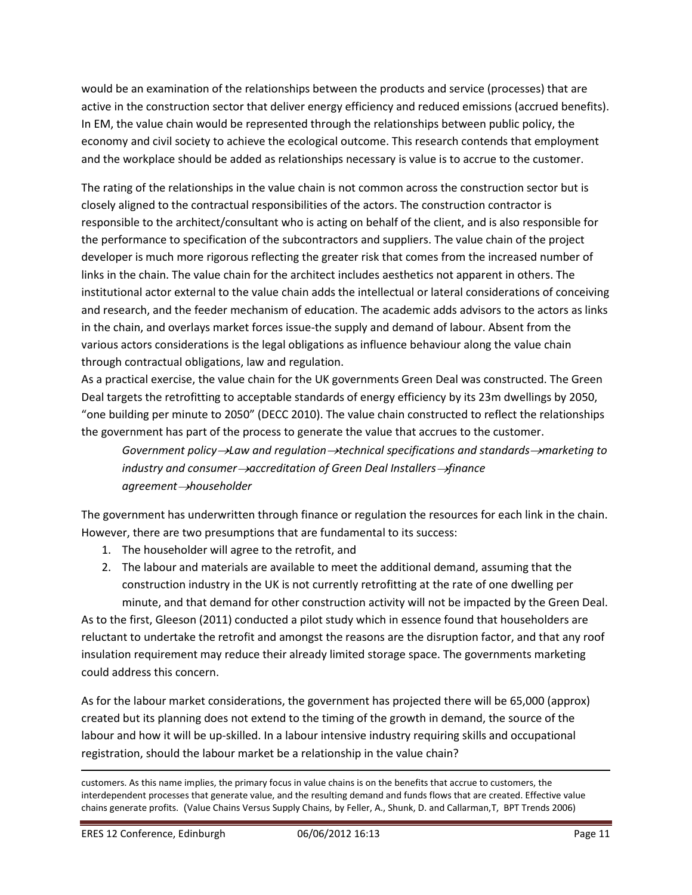would be an examination of the relationships between the products and service (processes) that are active in the construction sector that deliver energy efficiency and reduced emissions (accrued benefits). In EM, the value chain would be represented through the relationships between public policy, the economy and civil society to achieve the ecological outcome. This research contends that employment and the workplace should be added as relationships necessary is value is to accrue to the customer.

The rating of the relationships in the value chain is not common across the construction sector but is closely aligned to the contractual responsibilities of the actors. The construction contractor is responsible to the architect/consultant who is acting on behalf of the client, and is also responsible for the performance to specification of the subcontractors and suppliers. The value chain of the project developer is much more rigorous reflecting the greater risk that comes from the increased number of links in the chain. The value chain for the architect includes aesthetics not apparent in others. The institutional actor external to the value chain adds the intellectual or lateral considerations of conceiving and research, and the feeder mechanism of education. The academic adds advisors to the actors as links in the chain, and overlays market forces issue-the supply and demand of labour. Absent from the various actors considerations is the legal obligations as influence behaviour along the value chain through contractual obligations, law and regulation.

As a practical exercise, the value chain for the UK governments Green Deal was constructed. The Green Deal targets the retrofitting to acceptable standards of energy efficiency by its 23m dwellings by 2050, "one building per minute to 2050" (DECC 2010). The value chain constructed to reflect the relationships the government has part of the process to generate the value that accrues to the customer.

*Government policy Law and regulation technical specifications and standards marketing to industry and consumer*  $\rightarrow$  accreditation of Green Deal Installers  $\rightarrow$  finance *agreement householder*

The government has underwritten through finance or regulation the resources for each link in the chain. However, there are two presumptions that are fundamental to its success:

- 1. The householder will agree to the retrofit, and
- 2. The labour and materials are available to meet the additional demand, assuming that the construction industry in the UK is not currently retrofitting at the rate of one dwelling per minute, and that demand for other construction activity will not be impacted by the Green Deal.

As to the first, Gleeson (2011) conducted a pilot study which in essence found that householders are reluctant to undertake the retrofit and amongst the reasons are the disruption factor, and that any roof insulation requirement may reduce their already limited storage space. The governments marketing could address this concern.

As for the labour market considerations, the government has projected there will be 65,000 (approx) created but its planning does not extend to the timing of the growth in demand, the source of the labour and how it will be up-skilled. In a labour intensive industry requiring skills and occupational registration, should the labour market be a relationship in the value chain?

l

customers. As this name implies, the primary focus in value chains is on the benefits that accrue to customers, the interdependent processes that generate value, and the resulting demand and funds flows that are created. Effective value chains generate profits. (Value Chains Versus Supply Chains, by Feller, A., Shunk, D. and Callarman,T, BPT Trends 2006)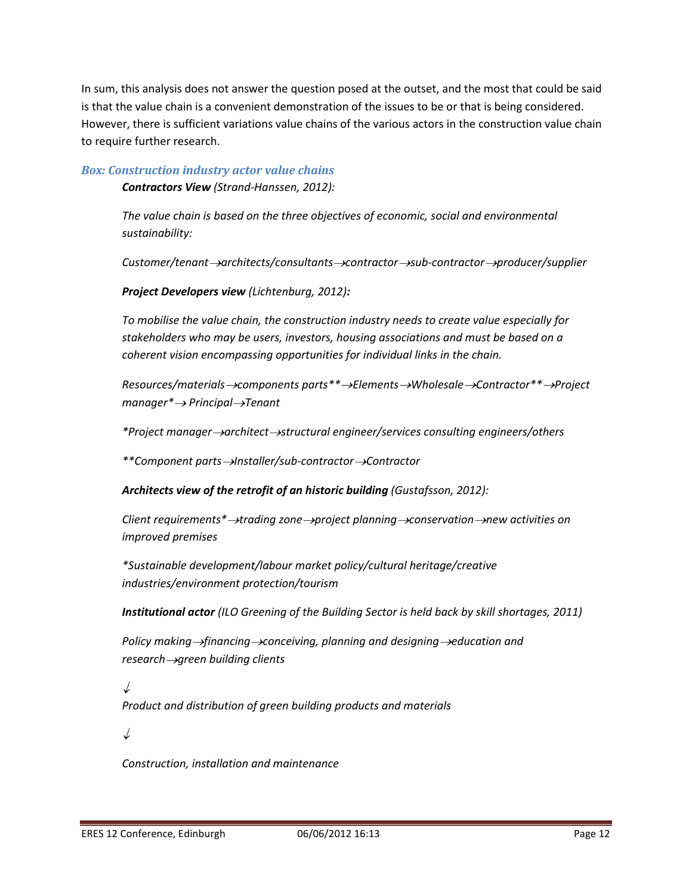In sum, this analysis does not answer the question posed at the outset, and the most that could be said is that the value chain is a convenient demonstration of the issues to be or that is being considered. However, there is sufficient variations value chains of the various actors in the construction value chain to require further research.

#### *Box: Construction industry actor value chains*

*Contractors View (Strand-Hanssen, 2012):*

*The value chain is based on the three objectives of economic, social and environmental sustainability:*

*Customer/tenant architects/consultants contractor sub-contractor producer/supplier* 

*Project Developers view (Lichtenburg, 2012):*

*To mobilise the value chain, the construction industry needs to create value especially for stakeholders who may be users, investors, housing associations and must be based on a coherent vision encompassing opportunities for individual links in the chain.*

*Resources/materials components parts\*\* Elements Wholesale Contractor\*\* Project manager\* Principal Tenant*

*\*Project manager architect structural engineer/services consulting engineers/others*

*\*\*Component parts Installer/sub-contractor Contractor* 

*Architects view of the retrofit of an historic building (Gustafsson, 2012):*

*Client requirements\* trading zone project planning conservation new activities on improved premises*

*\*Sustainable development/labour market policy/cultural heritage/creative industries/environment protection/tourism* 

*Institutional actor (ILO Greening of the Building Sector is held back by skill shortages, 2011)*

*Policy making ->financing* ->conceiving, planning and designing ->education and *research -> green building clients* 

 $\downarrow$ 

*Product and distribution of green building products and materials*

↓

*Construction, installation and maintenance*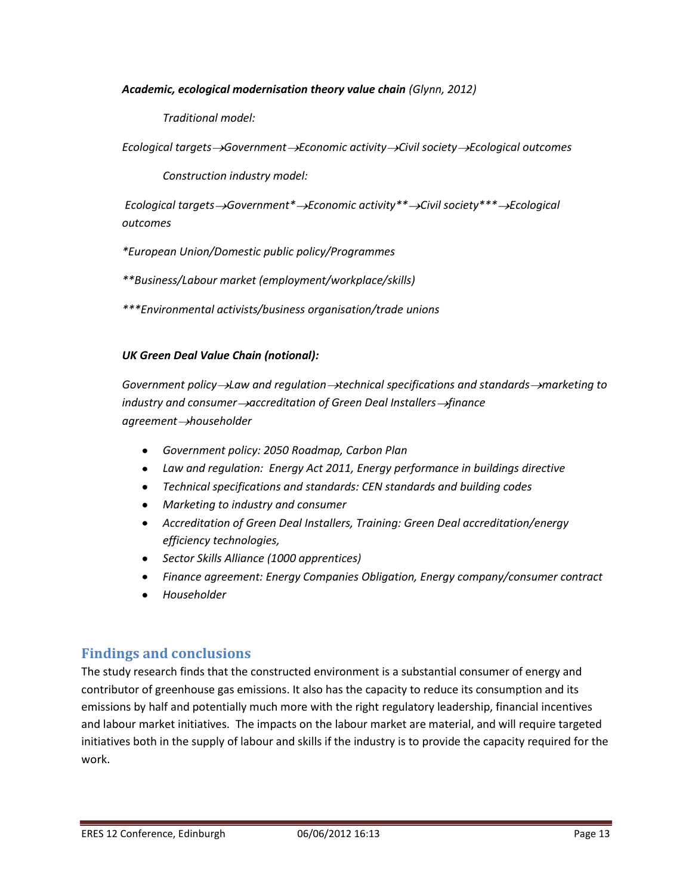#### *Academic, ecological modernisation theory value chain (Glynn, 2012)*

*Traditional model:* 

*Ecological targets*  $\rightarrow$  *Government*  $\rightarrow$  *Economic activity*  $\rightarrow$  *Civil society*  $\rightarrow$  *Ecological outcomes* 

*Construction industry model:*

*Ecological targets*  $\rightarrow$  *Government*<sup>\*</sup>  $\rightarrow$  *Economic activity*<sup>\*\*</sup>  $\rightarrow$  *Civil society*<sup>\*\*\*</sup>  $\rightarrow$  *Ecological outcomes*

*\*European Union/Domestic public policy/Programmes*

*\*\*Business/Labour market (employment/workplace/skills)*

*\*\*\*Environmental activists/business organisation/trade unions*

#### *UK Green Deal Value Chain (notional):*

*Government policy Law and regulation technical specifications and standards marketing to industry and consumer->accreditation of Green Deal Installers->finance agreement householder*

- *Government policy: 2050 Roadmap, Carbon Plan*
- *Law and regulation: Energy Act 2011, Energy performance in buildings directive*
- *Technical specifications and standards: CEN standards and building codes*
- *Marketing to industry and consumer*
- *Accreditation of Green Deal Installers, Training: Green Deal accreditation/energy efficiency technologies,*
- *Sector Skills Alliance (1000 apprentices)*
- *Finance agreement: Energy Companies Obligation, Energy company/consumer contract*
- *Householder*

### **Findings and conclusions**

The study research finds that the constructed environment is a substantial consumer of energy and contributor of greenhouse gas emissions. It also has the capacity to reduce its consumption and its emissions by half and potentially much more with the right regulatory leadership, financial incentives and labour market initiatives. The impacts on the labour market are material, and will require targeted initiatives both in the supply of labour and skills if the industry is to provide the capacity required for the work.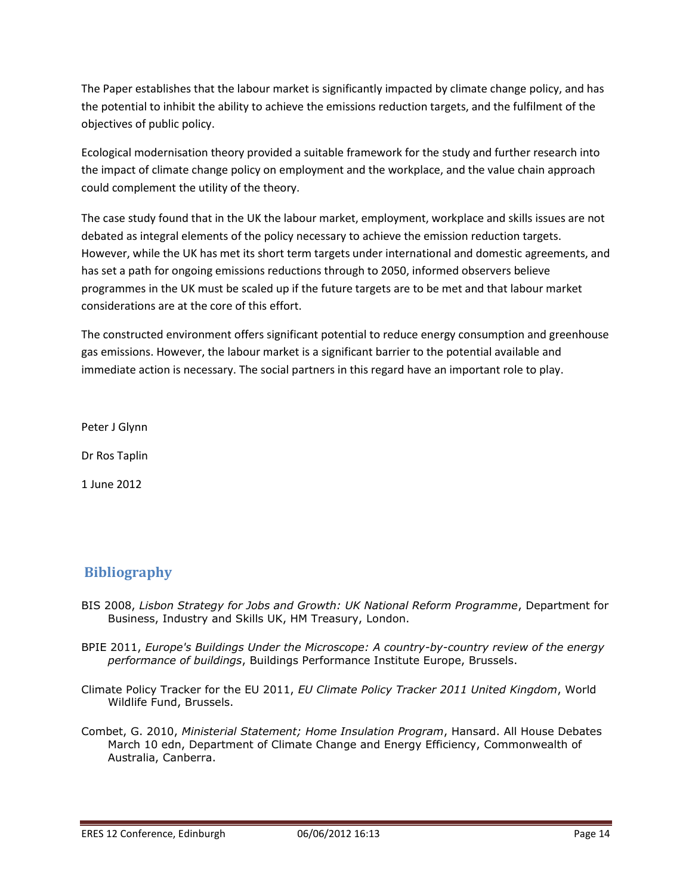The Paper establishes that the labour market is significantly impacted by climate change policy, and has the potential to inhibit the ability to achieve the emissions reduction targets, and the fulfilment of the objectives of public policy.

Ecological modernisation theory provided a suitable framework for the study and further research into the impact of climate change policy on employment and the workplace, and the value chain approach could complement the utility of the theory.

The case study found that in the UK the labour market, employment, workplace and skills issues are not debated as integral elements of the policy necessary to achieve the emission reduction targets. However, while the UK has met its short term targets under international and domestic agreements, and has set a path for ongoing emissions reductions through to 2050, informed observers believe programmes in the UK must be scaled up if the future targets are to be met and that labour market considerations are at the core of this effort.

The constructed environment offers significant potential to reduce energy consumption and greenhouse gas emissions. However, the labour market is a significant barrier to the potential available and immediate action is necessary. The social partners in this regard have an important role to play.

Peter J Glynn

Dr Ros Taplin

1 June 2012

### **Bibliography**

- BIS 2008, *Lisbon Strategy for Jobs and Growth: UK National Reform Programme*, Department for Business, Industry and Skills UK, HM Treasury, London.
- BPIE 2011, *Europe's Buildings Under the Microscope: A country-by-country review of the energy performance of buildings*, Buildings Performance Institute Europe, Brussels.
- Climate Policy Tracker for the EU 2011, *EU Climate Policy Tracker 2011 United Kingdom*, World Wildlife Fund, Brussels.
- Combet, G. 2010, *Ministerial Statement; Home Insulation Program*, Hansard. All House Debates March 10 edn, Department of Climate Change and Energy Efficiency, Commonwealth of Australia, Canberra.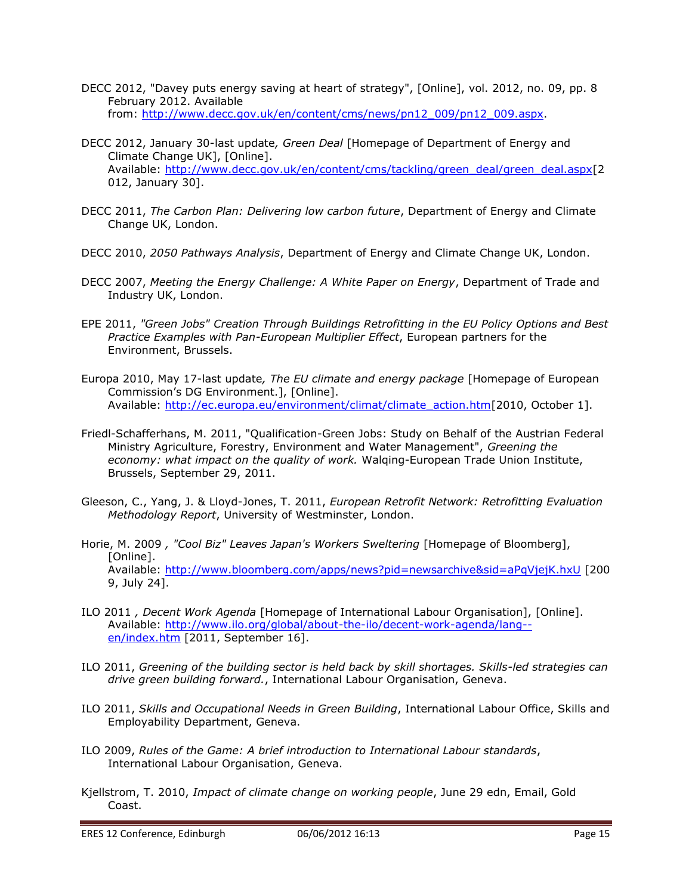- DECC 2012, "Davey puts energy saving at heart of strategy", [Online], vol. 2012, no. 09, pp. 8 February 2012. Available from: [http://www.decc.gov.uk/en/content/cms/news/pn12\\_009/pn12\\_009.aspx.](http://www.decc.gov.uk/en/content/cms/news/pn12_009/pn12_009.aspx)
- DECC 2012, January 30-last update*, Green Deal* [Homepage of Department of Energy and Climate Change UK], [Online]. Available: [http://www.decc.gov.uk/en/content/cms/tackling/green\\_deal/green\\_deal.aspx\[](http://www.decc.gov.uk/en/content/cms/tackling/green_deal/green_deal.aspx)2 012, January 30].
- DECC 2011, *The Carbon Plan: Delivering low carbon future*, Department of Energy and Climate Change UK, London.
- DECC 2010, *2050 Pathways Analysis*, Department of Energy and Climate Change UK, London.
- DECC 2007, *Meeting the Energy Challenge: A White Paper on Energy*, Department of Trade and Industry UK, London.
- EPE 2011, *"Green Jobs" Creation Through Buildings Retrofitting in the EU Policy Options and Best Practice Examples with Pan-European Multiplier Effect*, European partners for the Environment, Brussels.
- Europa 2010, May 17-last update*, The EU climate and energy package* [Homepage of European Commission's DG Environment.], [Online]. Available: [http://ec.europa.eu/environment/climat/climate\\_action.htm\[](http://ec.europa.eu/environment/climat/climate_action.htm)2010, October 1].
- Friedl-Schafferhans, M. 2011, "Qualification-Green Jobs: Study on Behalf of the Austrian Federal Ministry Agriculture, Forestry, Environment and Water Management", *Greening the economy: what impact on the quality of work.* Walqing-European Trade Union Institute, Brussels, September 29, 2011.
- Gleeson, C., Yang, J. & Lloyd-Jones, T. 2011, *European Retrofit Network: Retrofitting Evaluation Methodology Report*, University of Westminster, London.
- Horie, M. 2009 *, "Cool Biz" Leaves Japan's Workers Sweltering* [Homepage of Bloomberg], [Online]. Available: <http://www.bloomberg.com/apps/news?pid=newsarchive&sid=aPqVjejK.hxU> [200 9, July 24].
- ILO 2011 *, Decent Work Agenda* [Homepage of International Labour Organisation], [Online]. Available: [http://www.ilo.org/global/about-the-ilo/decent-work-agenda/lang-](http://www.ilo.org/global/about-the-ilo/decent-work-agenda/lang--en/index.htm) [en/index.htm](http://www.ilo.org/global/about-the-ilo/decent-work-agenda/lang--en/index.htm) [2011, September 16].
- ILO 2011, *Greening of the building sector is held back by skill shortages. Skills-led strategies can drive green building forward.*, International Labour Organisation, Geneva.
- ILO 2011, *Skills and Occupational Needs in Green Building*, International Labour Office, Skills and Employability Department, Geneva.
- ILO 2009, *Rules of the Game: A brief introduction to International Labour standards*, International Labour Organisation, Geneva.
- Kjellstrom, T. 2010, *Impact of climate change on working people*, June 29 edn, Email, Gold Coast.